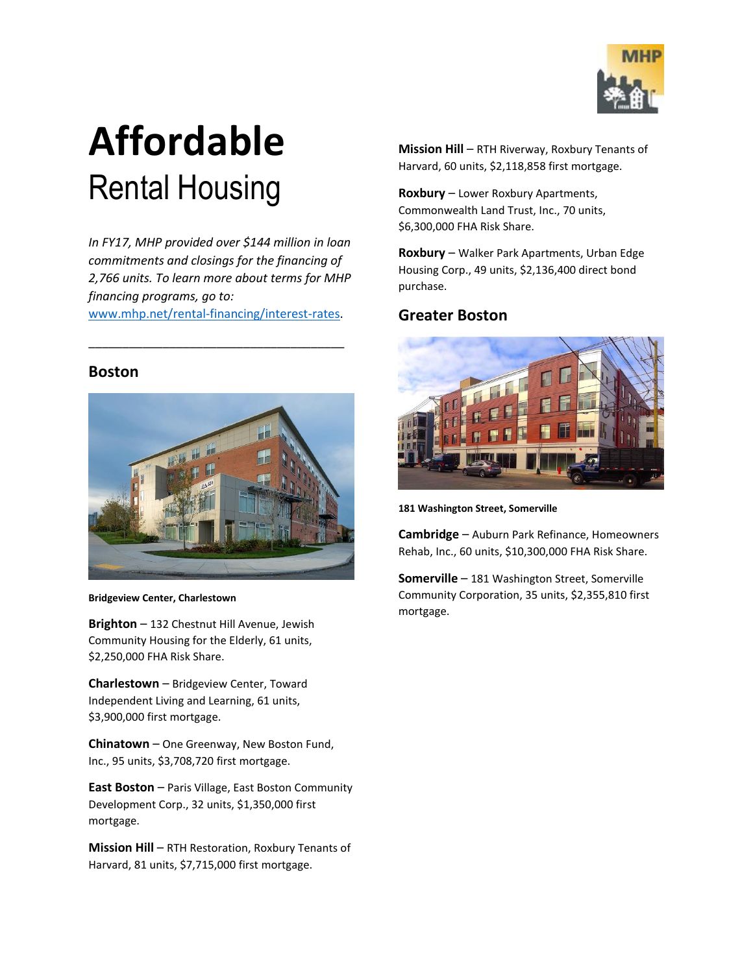

# **Affordable** Rental Housing

*In FY17, MHP provided over \$144 million in loan commitments and closings for the financing of 2,766 units. To learn more about terms for MHP financing programs, go to:* 

[www.mhp.net/rental-financing/interest-rates.](http://www.mhp.net/rental-financing/interest-rates)

\_\_\_\_\_\_\_\_\_\_\_\_\_\_\_\_\_\_\_\_\_\_\_\_\_\_\_\_\_\_\_\_\_\_\_\_\_\_

#### **Boston**



**Bridgeview Center, Charlestown**

**Brighton** – 132 Chestnut Hill Avenue, Jewish Community Housing for the Elderly, 61 units, \$2,250,000 FHA Risk Share.

**Charlestown** – Bridgeview Center, Toward Independent Living and Learning, 61 units, \$3,900,000 first mortgage.

**Chinatown** – One Greenway, New Boston Fund, Inc., 95 units, \$3,708,720 first mortgage.

**East Boston** – Paris Village, East Boston Community Development Corp., 32 units, \$1,350,000 first mortgage.

**Mission Hill** – RTH Restoration, Roxbury Tenants of Harvard, 81 units, \$7,715,000 first mortgage.

**Mission Hill** – RTH Riverway, Roxbury Tenants of Harvard, 60 units, \$2,118,858 first mortgage.

**Roxbury** – Lower Roxbury Apartments, Commonwealth Land Trust, Inc., 70 units, \$6,300,000 FHA Risk Share.

**Roxbury** – Walker Park Apartments, Urban Edge Housing Corp., 49 units, \$2,136,400 direct bond purchase.

#### **Greater Boston**



**181 Washington Street, Somerville**

**Cambridge** – Auburn Park Refinance, Homeowners Rehab, Inc., 60 units, \$10,300,000 FHA Risk Share.

**Somerville** – 181 Washington Street, Somerville Community Corporation, 35 units, \$2,355,810 first mortgage.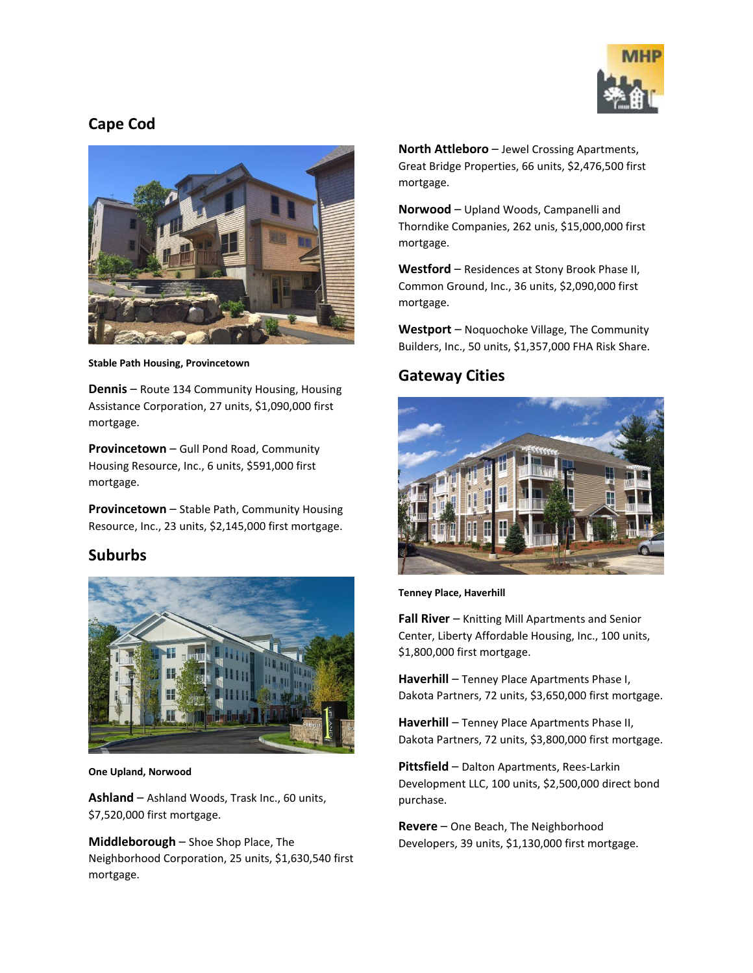

## **Cape Cod**



**Stable Path Housing, Provincetown**

**Dennis** – Route 134 Community Housing, Housing Assistance Corporation, 27 units, \$1,090,000 first mortgage.

**Provincetown** – Gull Pond Road, Community Housing Resource, Inc., 6 units, \$591,000 first mortgage.

**Provincetown** – Stable Path, Community Housing Resource, Inc., 23 units, \$2,145,000 first mortgage.

## **Suburbs**



**One Upland, Norwood**

**Ashland** – Ashland Woods, Trask Inc., 60 units, \$7,520,000 first mortgage.

**Middleborough** – Shoe Shop Place, The Neighborhood Corporation, 25 units, \$1,630,540 first mortgage.

**North Attleboro** – Jewel Crossing Apartments, Great Bridge Properties, 66 units, \$2,476,500 first mortgage.

**Norwood** – Upland Woods, Campanelli and Thorndike Companies, 262 unis, \$15,000,000 first mortgage.

**Westford** – Residences at Stony Brook Phase II, Common Ground, Inc., 36 units, \$2,090,000 first mortgage.

**Westport** – Noquochoke Village, The Community Builders, Inc., 50 units, \$1,357,000 FHA Risk Share.

## **Gateway Cities**



**Tenney Place, Haverhill**

**Fall River** – Knitting Mill Apartments and Senior Center, Liberty Affordable Housing, Inc., 100 units, \$1,800,000 first mortgage.

**Haverhill** – Tenney Place Apartments Phase I, Dakota Partners, 72 units, \$3,650,000 first mortgage.

**Haverhill** – Tenney Place Apartments Phase II, Dakota Partners, 72 units, \$3,800,000 first mortgage.

**Pittsfield** – Dalton Apartments, Rees-Larkin Development LLC, 100 units, \$2,500,000 direct bond purchase.

**Revere** – One Beach, The Neighborhood Developers, 39 units, \$1,130,000 first mortgage.